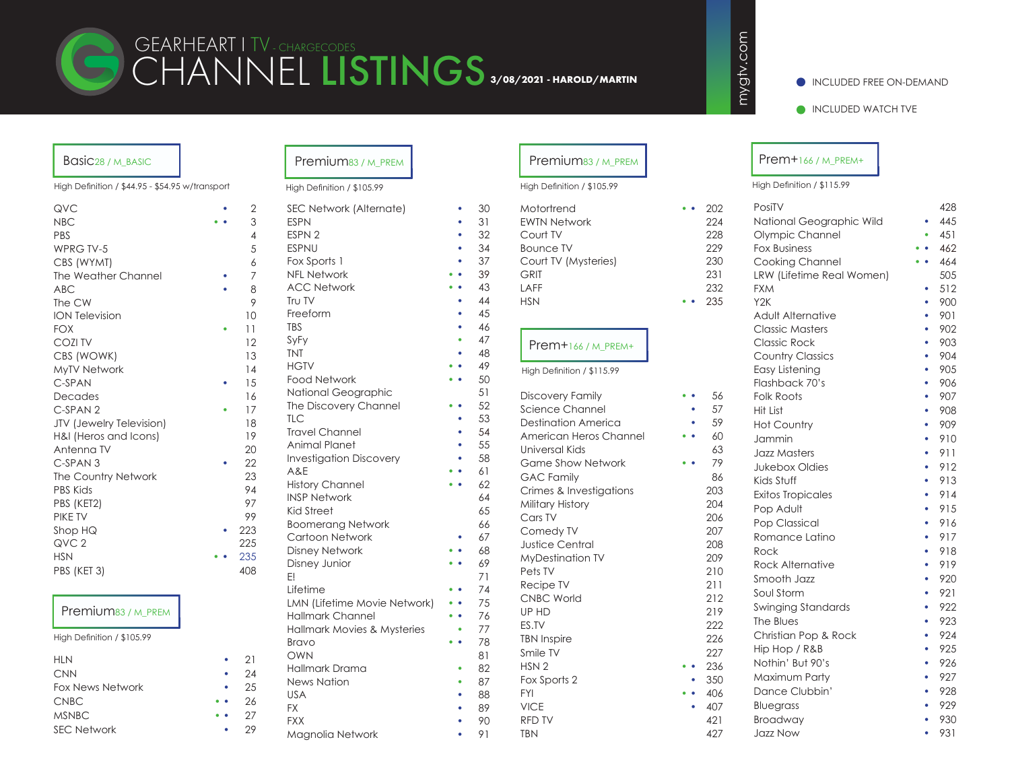

# CHANNEL LISTINGS GEARHEART I TV - CHARGECODES **3/08/2021 - HAROLD/MARTIN**

### INCLUDED FREE ON-DEMAND

INCLUDED WATCH TVE

## Basic28 / M\_BASIC

High Definition / \$44.95 - \$54.95 w/transport

| QVC                             | $\overline{2}$ |
|---------------------------------|----------------|
| <b>NBC</b>                      | 3              |
| PBS                             | $\overline{4}$ |
| <b>WPRG TV-5</b>                | 5              |
| CBS (WYMT)                      | 6              |
| The Weather Channel             | 7              |
| <b>ABC</b>                      | 8              |
| The CW                          | 9              |
| <b>ION Television</b>           | 10             |
| <b>FOX</b>                      | 11             |
| <b>COZITV</b>                   | 12             |
| CBS (WOWK)                      | 13             |
| MyTV Network                    | 14             |
| C-SPAN                          | 15             |
| Decades                         | 16             |
| C-SPAN <sub>2</sub>             | 17             |
| <b>JTV</b> (Jewelry Television) | 18             |
| H&I (Heros and Icons)           | 19             |
| Antenna TV                      | 20             |
| C-SPAN <sub>3</sub>             | 22             |
| The Country Network             | 23             |
| <b>PBS Kids</b>                 | 94             |
| PBS (KET2)                      | 97             |
| <b>PIKE TV</b>                  | 99             |
| Shop HQ                         | 223            |
| QVC <sub>2</sub>                | 225            |
| <b>HSN</b>                      | 235            |
| PBS (KET 3)                     | 408            |
|                                 |                |
|                                 |                |

# Premium83 / M\_PREM

High Definition / \$105.99

| <b>HLN</b>              |                     | 21 |
|-------------------------|---------------------|----|
| <b>CNN</b>              |                     | 24 |
| <b>Fox News Network</b> |                     | 25 |
| <b>CNBC</b>             | $\bullet$ $\bullet$ | 26 |
| <b>MSNBC</b>            | $\bullet$           | 27 |
| <b>SEC Network</b>      |                     | 29 |

# Premium83 / M\_PREM

#### High Definition / \$105.99

| $\mathbf{2}$    | SEC Network (Alternate)             | 30       |
|-----------------|-------------------------------------|----------|
| 3               | <b>ESPN</b>                         | 31       |
| $\overline{4}$  | ESPN <sub>2</sub>                   | 32       |
| 5               | <b>ESPNU</b>                        | 34       |
| 6               | Fox Sports 1                        | 37       |
| $\overline{7}$  | <b>NFL Network</b>                  | 39       |
| 8               | <b>ACC Network</b>                  | 43       |
| 9               | Tr∪ TV                              | 44       |
| $\overline{O}$  | Freeform                            | 45       |
| $\mathbf{1}$    | <b>TBS</b>                          | 46       |
| $\overline{2}$  | SyFy                                | 47       |
| 3               | <b>TNT</b>                          | 48       |
| $\overline{4}$  | <b>HGTV</b>                         | 49       |
| 5               | <b>Food Network</b>                 | 50<br>51 |
| 6               | National Geographic                 | 52       |
| $\overline{7}$  | The Discovery Channel<br><b>TLC</b> | 53       |
| 8               | <b>Travel Channel</b>               | 54       |
| 9               | <b>Animal Planet</b>                | 55       |
| $20^{\circ}$    | <b>Investigation Discovery</b>      | 58       |
| $\overline{2}$  | A&E                                 | 61       |
| 23              | <b>History Channel</b>              | 62       |
| $\overline{4}$  | <b>INSP Network</b>                 | 64       |
| 7               | <b>Kid Street</b>                   | 65       |
| 19              | <b>Boomerang Network</b>            | 66       |
| $^{23}$         | Cartoon Network                     | 67       |
| 25              | <b>Disney Network</b>               | 68       |
| 35 <sub>5</sub> | Disney Junior                       | 69       |
| 8               | E!                                  | 71       |
|                 | Lifetime                            | 74       |
|                 | LMN (Lifetime Movie Network)        | 75       |
|                 | <b>Hallmark Channel</b>             | 76       |
|                 | Hallmark Movies & Mysteries         | 77       |
|                 | <b>Bravo</b>                        | 78       |
| ן י             | OWN                                 | 81       |
| $\frac{1}{4}$   | Hallmark Drama                      | 82       |
| 25              | <b>News Nation</b>                  | 87       |
|                 | <b>USA</b>                          | 88       |
| $\frac{2}{5}$   | <b>FX</b>                           | 89       |
| 27              | <b>FXX</b>                          | 90       |

Magnolia Network • 91

|                                        | High Definition / \$105.99                                                                                       |                                               |
|----------------------------------------|------------------------------------------------------------------------------------------------------------------|-----------------------------------------------|
| 30<br>31<br>32<br>34<br>37<br>39<br>43 | Motortrend<br><b>EWTN Network</b><br>Court TV<br><b>Bounce TV</b><br>Court TV (Mysteries)<br><b>GRIT</b><br>LAFF | 202<br>224<br>228<br>229<br>230<br>231<br>232 |
| 44                                     | <b>HSN</b>                                                                                                       | 235                                           |
| 45                                     |                                                                                                                  |                                               |
| 46<br>47<br>48<br>49                   | $P$ rem $+$ 166 / M PREM $+$<br>High Definition / \$115.99                                                       |                                               |
| 50<br>51                               |                                                                                                                  | 56                                            |
| 52                                     | <b>Discovery Family</b><br><b>Science Channel</b>                                                                | 57                                            |
| 53                                     | <b>Destination America</b>                                                                                       | 59                                            |
| 54                                     | American Heros Channel                                                                                           | 60                                            |
| 55                                     | Universal Kids                                                                                                   | 63                                            |
| 58                                     | <b>Game Show Network</b>                                                                                         | 79                                            |
| 51                                     | <b>GAC Family</b>                                                                                                | 86                                            |
| 52                                     | Crimes & Investigations                                                                                          | 203                                           |
| 54                                     | Military History                                                                                                 | 204                                           |
| 55                                     | Cars TV                                                                                                          | 206                                           |
| 56<br>57                               | Comedy TV                                                                                                        | 207                                           |
| 58                                     | <b>Justice Central</b>                                                                                           | 208                                           |
| 59                                     | <b>MyDestination TV</b>                                                                                          | 209                                           |
| 71                                     | Pets TV                                                                                                          | 210                                           |
| 74                                     | Recipe TV                                                                                                        | 211                                           |
| 75                                     | CNBC World                                                                                                       | 212                                           |
| 76                                     | UP HD                                                                                                            | 219                                           |
| 77                                     | ES.TV                                                                                                            | 222                                           |
| 78                                     | <b>TBN Inspire</b>                                                                                               | 226                                           |
| 31                                     | Smile TV                                                                                                         | 227                                           |
| 32                                     | HSN <sub>2</sub>                                                                                                 | 236                                           |
| 37                                     | Fox Sports 2                                                                                                     | 350                                           |

Premium83 / M\_PREM

**VICE RFD TV** 

## Prem+166 / M\_PREM+

mygtv.com

mygtv.com

High Definition / \$115.99

| Motortrend                     | 202<br>$\bullet$ | PosiTV                    |           | 428 |
|--------------------------------|------------------|---------------------------|-----------|-----|
| <b>EWTN Network</b>            | 224              | National Geographic Wild  |           | 445 |
| Court TV                       | 228              | Olympic Channel           |           | 451 |
| <b>Bounce TV</b>               | 229              | <b>Fox Business</b>       |           | 462 |
| Court TV (Mysteries)           | 230              | Cooking Channel           |           | 464 |
| <b>GRIT</b>                    | 231              | LRW (Lifetime Real Women) |           | 505 |
| LAFF                           | 232              | <b>FXM</b>                |           | 512 |
| <b>HSN</b>                     | 235              | Y <sub>2</sub> K          | ٠         | 900 |
|                                |                  | Adult Alternative         | ٠         | 901 |
|                                |                  | <b>Classic Masters</b>    | ٠         | 902 |
| Prem+166/M_PREM+               |                  | <b>Classic Rock</b>       | ٠         | 903 |
|                                |                  | <b>Country Classics</b>   | ٠         | 904 |
| High Definition / \$115.99     |                  | Easy Listening            | ٠         | 905 |
|                                |                  | Flashback 70's            | ٠         | 906 |
| Discovery Family               | 56               | <b>Folk Roots</b>         | ٠         | 907 |
| Science Channel                | 57<br>$\bullet$  | Hit List                  | ٠         | 908 |
| <b>Destination America</b>     | 59               | <b>Hot Country</b>        | ٠         | 909 |
| American Heros Channel         | 60               | Jammin                    | ٠         | 910 |
| Universal Kids                 | 63               | <b>Jazz Masters</b>       | $\bullet$ | 911 |
| <b>Game Show Network</b>       | 79               | <b>Jukebox Oldies</b>     | ٠         | 912 |
| <b>GAC Family</b>              | 86               | Kids Stuff                | ٠         | 913 |
| Crimes & Investigations        | 203              | <b>Exitos Tropicales</b>  | ٠         | 914 |
| Military History               | 204              | Pop Adult                 | ٠         | 915 |
| Cars TV                        | 206              | Pop Classical             | ٠         | 916 |
| Comedy TV                      | 207              | Romance Latino            |           | 917 |
| <b>Justice Central</b>         | 208              | Rock                      |           | 918 |
| <b>MyDestination TV</b>        | 209              | <b>Rock Alternative</b>   |           | 919 |
| Pets TV                        | 210              | Smooth Jazz               | ٠         | 920 |
| Recipe TV                      | 211              | Soul Storm                | ٠         | 921 |
| <b>CNBC World</b>              | 212              | <b>Swinging Standards</b> | ٠         | 922 |
| UP HD<br>ES.TV                 | 219<br>222       | The Blues                 | ٠         | 923 |
|                                |                  | Christian Pop & Rock      | $\bullet$ | 924 |
| <b>TBN Inspire</b><br>Smile TV | 226<br>227       | Hip Hop / R&B             | $\bullet$ | 925 |
| HSN <sub>2</sub>               | 236              | Nothin' But 90's          | $\bullet$ | 926 |
| Fox Sports 2                   | 350<br>٠         | Maximum Party             | ٠         | 927 |
| <b>FYI</b>                     | 406<br>$\bullet$ | Dance Clubbin'            | ٠         | 928 |
| <b>VICE</b>                    | 407<br>٠         | Bluegrass                 | ٠         | 929 |
| RFD TV                         | 421              | Broadway                  |           | 930 |
| <b>TBN</b>                     | 427              | <b>Jazz Now</b>           |           | 931 |
|                                |                  |                           |           |     |